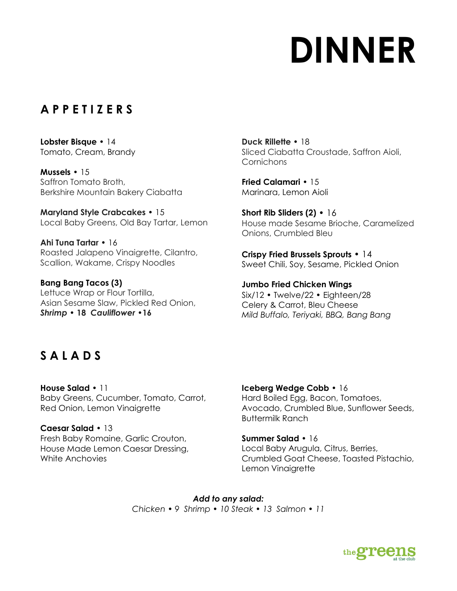# **DINNER**

### **A P P E T I Z E R S**

**Lobster Bisque** • 14 Tomato, Cream, Brandy

**Mussels** • 15 Saffron Tomato Broth, Berkshire Mountain Bakery Ciabatta

**Maryland Style Crabcakes** • 15 Local Baby Greens, Old Bay Tartar, Lemon

**Ahi Tuna Tartar** • 16 Roasted Jalapeno Vinaigrette, Cilantro, Scallion, Wakame, Crispy Noodles

**Bang Bang Tacos (3)**  Lettuce Wrap or Flour Tortilla, Asian Sesame Slaw, Pickled Red Onion, *Shrimp •* **18** *Cauliflower •***16**

**Duck Rillette** • 18 Sliced Ciabatta Croustade, Saffron Aioli, **Cornichons** 

**Fried Calamari** • 15 Marinara, Lemon Aioli

**Short Rib Sliders (2)** • 16 House made Sesame Brioche, Caramelized Onions, Crumbled Bleu

**Crispy Fried Brussels Sprouts** • 14 Sweet Chili, Soy, Sesame, Pickled Onion

**Jumbo Fried Chicken Wings**  Six/12 • Twelve/22 • Eighteen/28 Celery & Carrot, Bleu Cheese *Mild Buffalo, Teriyaki, BBQ, Bang Bang*

## **S A L A D S**

**House Salad** • 11 Baby Greens, Cucumber, Tomato, Carrot, Red Onion, Lemon Vinaigrette

**Caesar Salad** • 13 Fresh Baby Romaine, Garlic Crouton, House Made Lemon Caesar Dressing, White Anchovies

**Iceberg Wedge Cobb** • 16 Hard Boiled Egg, Bacon, Tomatoes, Avocado, Crumbled Blue, Sunflower Seeds, Buttermilk Ranch

**Summer Salad** • 16 Local Baby Arugula, Citrus, Berries, Crumbled Goat Cheese, Toasted Pistachio, Lemon Vinaigrette

*Add to any salad: Chicken • 9 Shrimp • 10 Steak • 13 Salmon • 11*

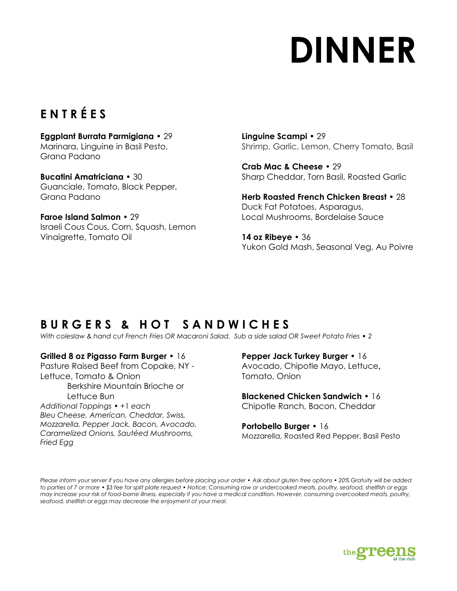# **DINNER**

## **E N T R É E S**

**Eggplant Burrata Parmigiana** • 29 Marinara, Linguine in Basil Pesto, Grana Padano

**Bucatini Amatriciana** • 30 Guanciale, Tomato, Black Pepper, Grana Padano

**Faroe Island Salmon** • 29 Israeli Cous Cous, Corn, Squash, Lemon Vinaigrette, Tomato Oil

**Linguine Scampi** • 29 Shrimp, Garlic, Lemon, Cherry Tomato, Basil

**Crab Mac & Cheese** • 29 Sharp Cheddar, Torn Basil, Roasted Garlic

**Herb Roasted French Chicken Breast** • 28 Duck Fat Potatoes, Asparagus, Local Mushrooms, Bordelaise Sauce

**14 oz Ribeye** • 36 Yukon Gold Mash, Seasonal Veg, Au Poivre

## **B U R G E R S & H O T S A N D W I C H E S**

*With coleslaw & hand cut French Fries OR Macaroni Salad. Sub a side salad OR Sweet Potato Fries • 2*

#### **Grilled 8 oz Pigasso Farm Burger** • 16

Pasture Raised Beef from Copake, NY - Lettuce, Tomato & Onion Berkshire Mountain Brioche or Lettuce Bun *Additional Toppings* • +1 *each*

*Bleu Cheese, American, Cheddar, Swiss, Mozzarella, Pepper Jack, Bacon, Avocado, Caramelized Onions, Sautéed Mushrooms, Fried Egg*

**Pepper Jack Turkey Burger** • 16 Avocado, Chipotle Mayo, Lettuce**,**  Tomato, Onion

**Blackened Chicken Sandwich** • 16 Chipotle Ranch, Bacon, Cheddar

**Portobello Burger** • 16 Mozzarella, Roasted Red Pepper, Basil Pesto

*Please inform your server if you have any allergies before placing your order* • *Ask about gluten free options* • *20% Gratuity will be added to parties of 7 or more* • *\$3 fee for split plate request* • *Notice: Consuming raw or undercooked meats, poultry, seafood, shellfish or eggs may increase your risk of food-borne illness, especially if you have a medical condition. However, consuming overcooked meats, poultry, seafood, shellfish or eggs may decrease the enjoyment of your meal.*

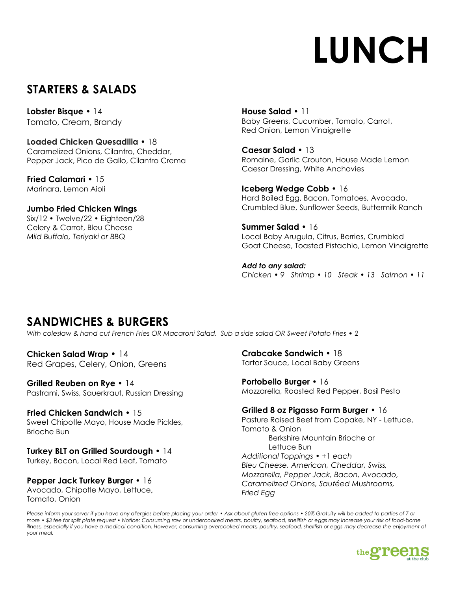# **LUNCH**

### **STARTERS & SALADS**

**Lobster Bisque** • 14 Tomato, Cream, Brandy

**Loaded Chicken Quesadilla** • 18 Caramelized Onions, Cilantro, Cheddar, Pepper Jack, Pico de Gallo, Cilantro Crema

**Fried Calamari** • 15 Marinara, Lemon Aioli

**Jumbo Fried Chicken Wings**  Six/12 • Twelve/22 • Eighteen/28 Celery & Carrot, Bleu Cheese *Mild Buffalo, Teriyaki or BBQ*

**House Salad** • 11 Baby Greens, Cucumber, Tomato, Carrot, Red Onion, Lemon Vinaigrette

**Caesar Salad** • 13 Romaine, Garlic Crouton, House Made Lemon Caesar Dressing, White Anchovies

**Iceberg Wedge Cobb** • 16 Hard Boiled Egg, Bacon, Tomatoes, Avocado, Crumbled Blue, Sunflower Seeds, Buttermilk Ranch

**Summer Salad** • 16 Local Baby Arugula, Citrus, Berries, Crumbled Goat Cheese, Toasted Pistachio, Lemon Vinaigrette

*Add to any salad: Chicken • 9 Shrimp • 10 Steak • 13 Salmon • 11*

### **SANDWICHES & BURGERS**

*With coleslaw & hand cut French Fries OR Macaroni Salad. Sub a side salad OR Sweet Potato Fries • 2*

**Chicken Salad Wrap** • 14 Red Grapes, Celery, Onion, Greens

**Grilled Reuben on Rye** • 14 Pastrami, Swiss, Sauerkraut, Russian Dressing

**Fried Chicken Sandwich** • 15 Sweet Chipotle Mayo, House Made Pickles, Brioche Bun

**Turkey BLT on Grilled Sourdough** • 14 Turkey, Bacon, Local Red Leaf, Tomato

**Pepper Jack Turkey Burger** • 16 Avocado, Chipotle Mayo, Lettuce**,**  Tomato, Onion

**Crabcake Sandwich** • 18 Tartar Sauce, Local Baby Greens

**Portobello Burger** • 16 Mozzarella, Roasted Red Pepper, Basil Pesto

#### **Grilled 8 oz Pigasso Farm Burger** • 16

Pasture Raised Beef from Copake, NY - Lettuce, Tomato & Onion Berkshire Mountain Brioche or Lettuce Bun *Additional Toppings* • +1 *each Bleu Cheese, American, Cheddar, Swiss, Mozzarella, Pepper Jack, Bacon, Avocado, Caramelized Onions, Sautéed Mushrooms, Fried Egg*

*Please inform your server if you have any allergies before placing your order* • *Ask about gluten free options* • *20% Gratuity will be added to parties of 7 or more* • *\$3 fee for split plate request* • *Notice: Consuming raw or undercooked meats, poultry, seafood, shellfish or eggs may increase your risk of food-borne illness, especially if you have a medical condition. However, consuming overcooked meats, poultry, seafood, shellfish or eggs may decrease the enjoyment of your meal.*